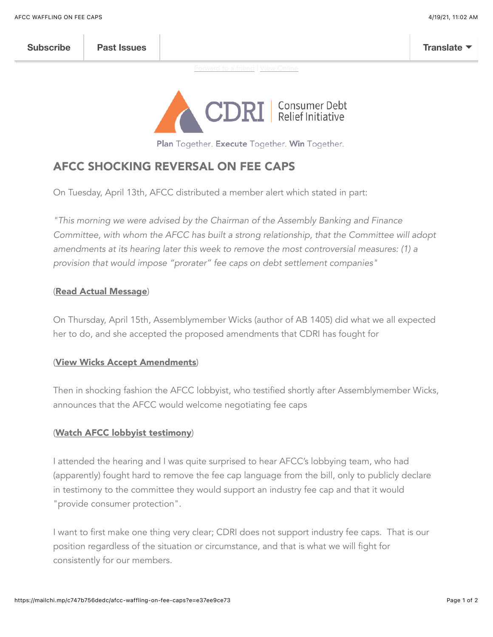[Forward to a friend](http://us7.forward-to-friend.com/forward?u=22f4bf829bc2342aac7d34e25&id=a13e4913d8&e=e37ee9ce73) | [View Online](https://mailchi.mp/c747b756dedc/afcc-waffling-on-fee-caps?e=e37ee9ce73)



Plan Together. Execute Together. Win Together.

## [AFCC SHOCKING REVERSAL ON FEE CAPS](https://youtu.be/M688sg7chSU)

On Tuesday, April 13th, AFCC distributed a member alert which stated in part:

*"This morning we were advised by the Chairman of the Assembly Banking and Finance Committee, with whom the AFCC has built a strong relationship, that the Committee will adopt amendments at its hearing later this week to remove the most controversial measures: (1) a provision that would impose "prorater" fee caps on debt settlement companies"*

## ([Read Actual Message](https://mcusercontent.com/22f4bf829bc2342aac7d34e25/images/fc9cc8b0-2f77-446c-935e-19e603ba6a99.png))

On Thursday, April 15th, Assemblymember Wicks (author of AB 1405) did what we all expected her to do, and she accepted the proposed amendments that CDRI has fought for

## ([View Wicks Accept Amendments](https://mcusercontent.com/22f4bf829bc2342aac7d34e25/files/34eabdbe-a652-43f3-8245-ce5b86e46bfb/wicks.mov))

Then in shocking fashion the AFCC lobbyist, who testified shortly after Assemblymember Wicks, announces that the AFCC would welcome negotiating fee caps

## ([Watch AFCC lobbyist testimony](https://mcusercontent.com/22f4bf829bc2342aac7d34e25/files/d0574b80-5f3f-4eb0-8774-3caf21631874/glads.mov))

I attended the hearing and I was quite surprised to hear AFCC's lobbying team, who had (apparently) fought hard to remove the fee cap language from the bill, only to publicly declare in testimony to the committee they would support an industry fee cap and that it would "provide consumer protection".

I want to first make one thing very clear; CDRI does not support industry fee caps. That is our position regardless of the situation or circumstance, and that is what we will fight for consistently for our members.